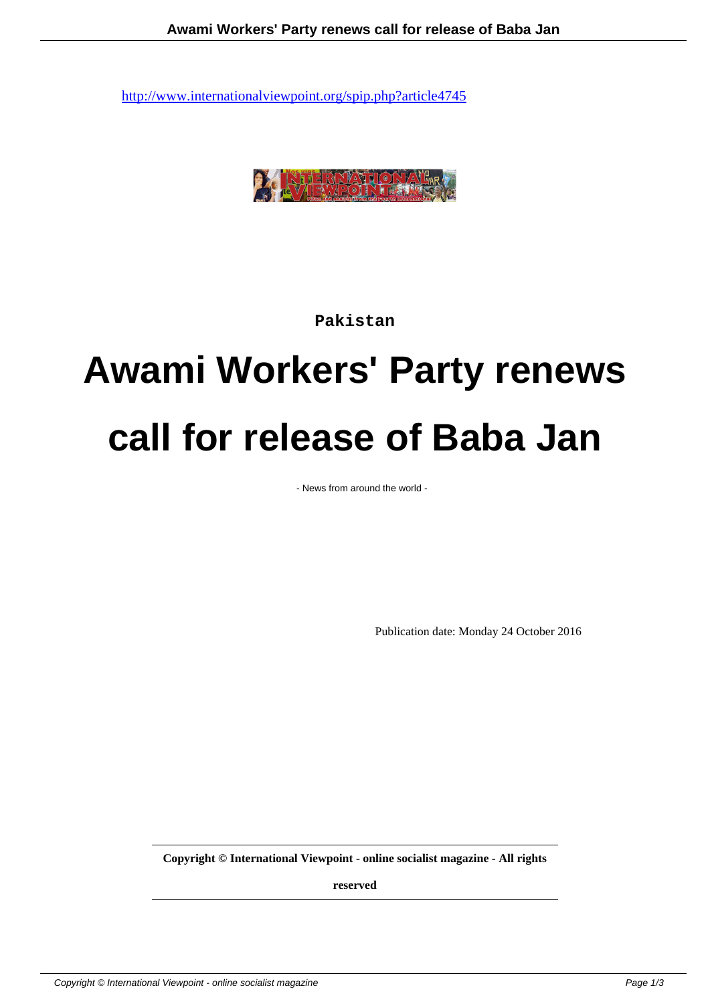

**Pakistan**

## **Awami Workers' Party renews call for release of Baba Jan**

- News from around the world -

Publication date: Monday 24 October 2016

**Copyright © International Viewpoint - online socialist magazine - All rights**

**reserved**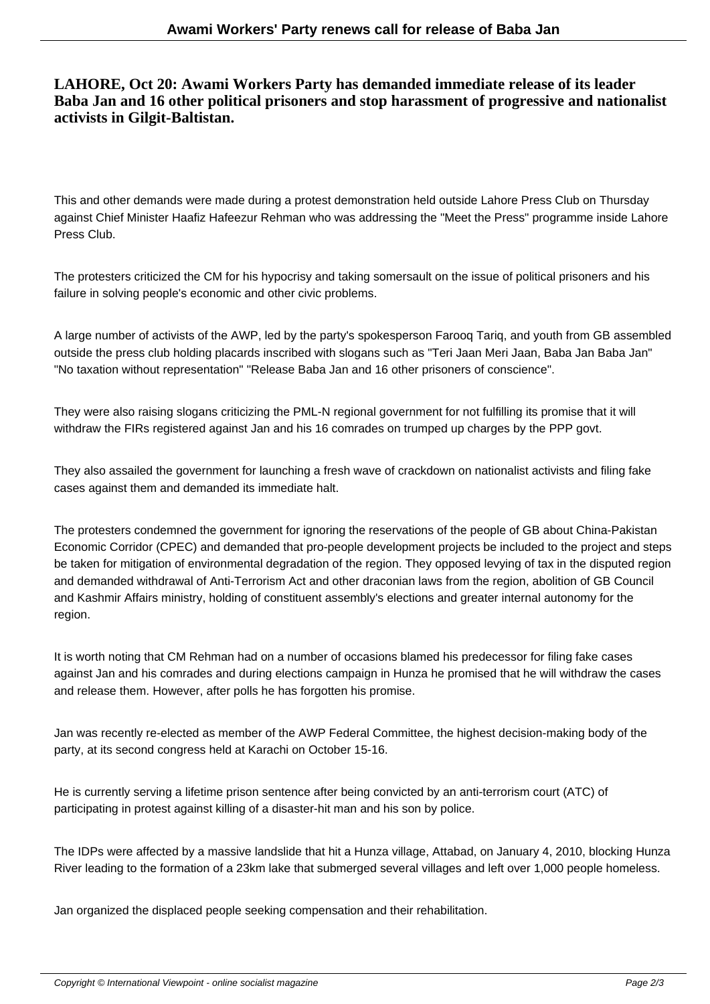## **LAHORE, Oct 20: Awami Workers Party has demanded immediate release of its leader Baba Jan and 16 other political prisoners and stop harassment of progressive and nationalist activists in Gilgit-Baltistan.**

This and other demands were made during a protest demonstration held outside Lahore Press Club on Thursday against Chief Minister Haafiz Hafeezur Rehman who was addressing the "Meet the Press" programme inside Lahore Press Club.

The protesters criticized the CM for his hypocrisy and taking somersault on the issue of political prisoners and his failure in solving people's economic and other civic problems.

A large number of activists of the AWP, led by the party's spokesperson Farooq Tariq, and youth from GB assembled outside the press club holding placards inscribed with slogans such as "Teri Jaan Meri Jaan, Baba Jan Baba Jan" "No taxation without representation" "Release Baba Jan and 16 other prisoners of conscience".

They were also raising slogans criticizing the PML-N regional government for not fulfilling its promise that it will withdraw the FIRs registered against Jan and his 16 comrades on trumped up charges by the PPP govt.

They also assailed the government for launching a fresh wave of crackdown on nationalist activists and filing fake cases against them and demanded its immediate halt.

The protesters condemned the government for ignoring the reservations of the people of GB about China-Pakistan Economic Corridor (CPEC) and demanded that pro-people development projects be included to the project and steps be taken for mitigation of environmental degradation of the region. They opposed levying of tax in the disputed region and demanded withdrawal of Anti-Terrorism Act and other draconian laws from the region, abolition of GB Council and Kashmir Affairs ministry, holding of constituent assembly's elections and greater internal autonomy for the region.

It is worth noting that CM Rehman had on a number of occasions blamed his predecessor for filing fake cases against Jan and his comrades and during elections campaign in Hunza he promised that he will withdraw the cases and release them. However, after polls he has forgotten his promise.

Jan was recently re-elected as member of the AWP Federal Committee, the highest decision-making body of the party, at its second congress held at Karachi on October 15-16.

He is currently serving a lifetime prison sentence after being convicted by an anti-terrorism court (ATC) of participating in protest against killing of a disaster-hit man and his son by police.

The IDPs were affected by a massive landslide that hit a Hunza village, Attabad, on January 4, 2010, blocking Hunza River leading to the formation of a 23km lake that submerged several villages and left over 1,000 people homeless.

Jan organized the displaced people seeking compensation and their rehabilitation.